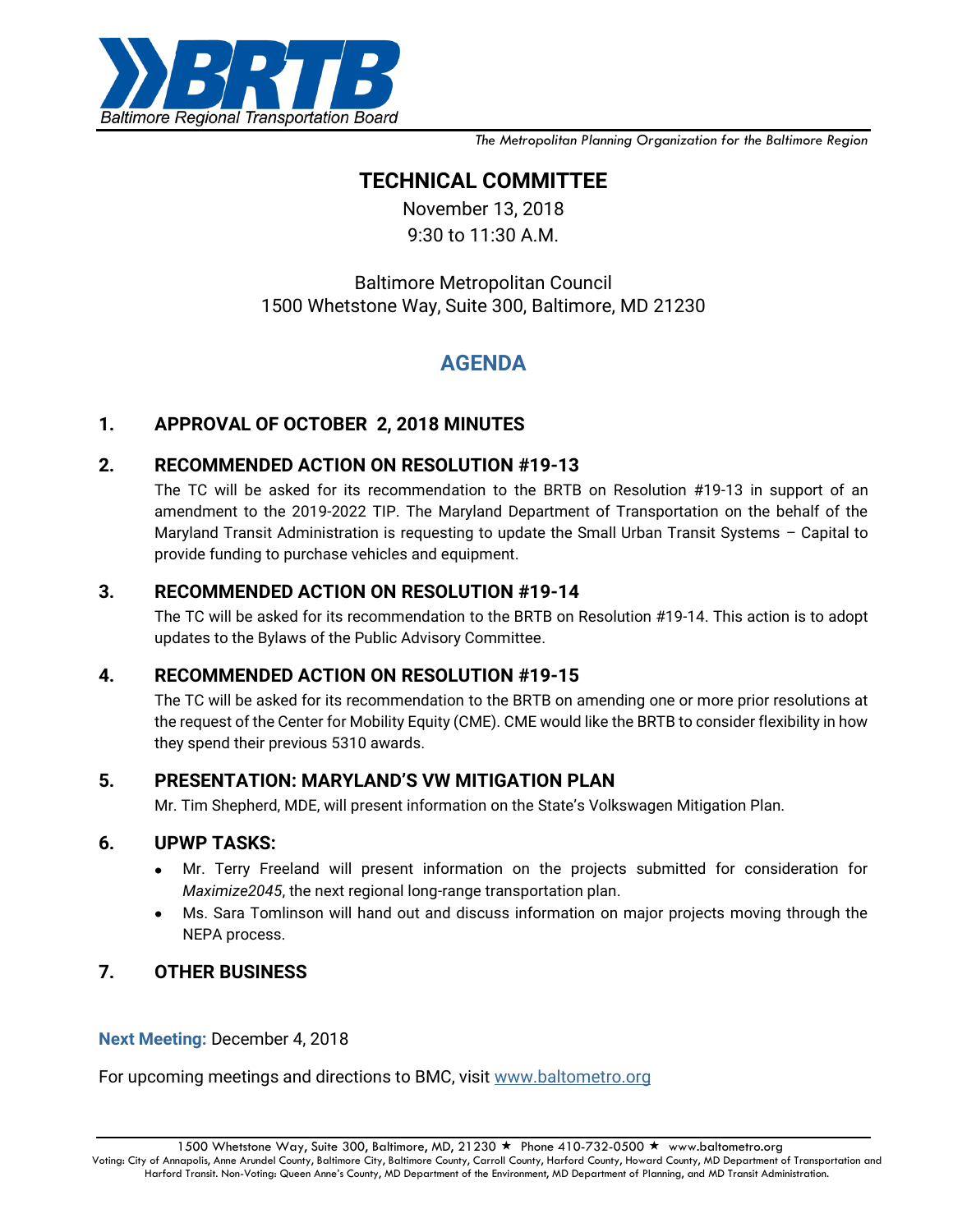

*The Metropolitan Planning Organization for the Baltimore Region*

## **TECHNICAL COMMITTEE**

November 13, 2018 9:30 to 11:30 A.M.

## Baltimore Metropolitan Council 1500 Whetstone Way, Suite 300, Baltimore, MD 21230

# **AGENDA**

### **1. APPROVAL OF OCTOBER 2, 2018 MINUTES**

### **2. RECOMMENDED ACTION ON RESOLUTION #19-13**

The TC will be asked for its recommendation to the BRTB on Resolution #19-13 in support of an amendment to the 2019-2022 TIP. The Maryland Department of Transportation on the behalf of the Maryland Transit Administration is requesting to update the Small Urban Transit Systems – Capital to provide funding to purchase vehicles and equipment.

### **3. RECOMMENDED ACTION ON RESOLUTION #19-14**

The TC will be asked for its recommendation to the BRTB on [Resolution #19-14](https://drive.google.com/open?id=1g0i9eYjKLhowAiehyWsD34WcQ7e4r5Uv). This action is to adopt updates to the Bylaws of the Public Advisory Committee.

### **4. RECOMMENDED ACTION ON RESOLUTION #19-15**

The TC will be asked for its recommendation to the BRTB on amending one or more prior resolutions at the request of the Center for Mobility Equity (CME). CME would like the BRTB to consider flexibility in how they spend their previous 5310 awards.

### **5. PRESENTATION: MARYLAND'S VW MITIGATION PLAN**

Mr. Tim Shepherd, MDE, will present information on the State's Volkswagen Mitigation Plan.

### **6. UPWP TASKS:**

- Mr. Terry Freeland will present information on the projects submitted for consideration for *Maximize2045*, the next regional long-range transportation plan.
- Ms. Sara Tomlinson will hand out and discuss information on major projects moving through the NEPA process.

### **7. OTHER BUSINESS**

#### **Next Meeting:** December 4, 2018

For upcoming meetings and directions to BMC, visit [www.baltometro.org](http://www.baltometro.org/)